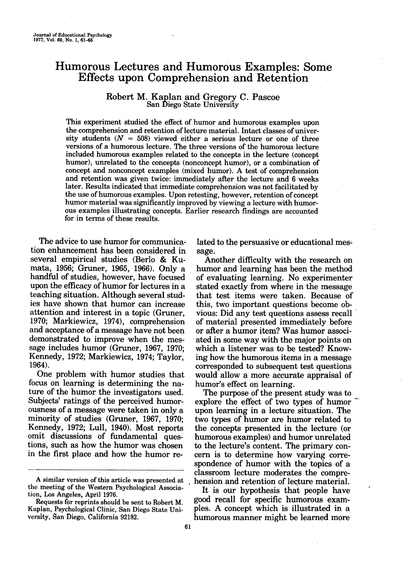# Humorous Lectures and Humorous Examples: Some Effects upon Comprehension and Retention

## Robert M. Kaplan and Gregory C. Pascoe San Diego State University

This experiment studied the effect of humor and humorous examples upon the comprehension and retention of lecture material. Intact classes of university students  $(N = 508)$  viewed either a serious lecture or one of three versions of a humorous lecture. The three versions of the humorous lecture included humorous examples related to the concepts in the lecture (concept humor), unrelated to the concepts (nonconcept humor), or a combination of concept and nonconcept examples (mixed humor). A test of comprehension and retention was given twice: immediately af**t**er the lecture and 6 weeks later. Results indicated that immediate comprehension was not facilitated by the use of humorous examples. Upon retesting, however, retention of concept humor material was significantly improved by viewing a lecture with humorous examples illustrating concepts. Earlier research findings are accounted for in terms of these results.

tion enhancement has been considered in sage.<br>several empirical studies (Berlo & Ku-An mata, 1956; Gruner, 1965, 1966). Only a handful of studies, however, have focused handful of studies, however, have focused of evaluating learning. No experimenter upon the efficacy of humor for lectures in a stated exactly from where in the message teaching situation. Although several stud-<br>ies have shown that humor can increase ies have shown that humor can increase this, two important questions become ob-<br>attention and interest in a topic (Gruner, vious: Did any test questions assess recall 1970; Markiewicz, 1974), comprehension and acceptance of a message have not been demonstrated to improve when the mes-<br>sage includes humor (Gruner, 1967, 1970; sage includes humor (Gruner, 1967, 1970; which a listener was to be tested? Know-<br>Kennedy, 1972; Markiewicz, 1974; Taylor, ing how the humorous items in a message Kennedy, 1972; Markiewicz, 1974; Taylor, ing how the humorous items in a message<br>corresponded to subsequent test questions

focus on learning is determining the na-<br>ture of the humor the investigators used. The purpose of the present study was to ture of the humor the investigators used.<br>Subjects' ratings of the perceived humorousness of a message were taken in only a upon learning in a lecture situation. The minority of studies (Gruner, 1967, 1970; two types of humor are humor related to Kennedy, 1972; Lull, 1940). Most reports the concepts presented in the lecture (or Kennedy, 1972; Lull, 1940). Most reports omit discussions of fundamental quesomit discussions of fundamental ques-<br>tions, such as how the humor was chosen to the lecture's content. The primary con-

The advice to use **h**umor for communica, l**a**ted **t**o the persuas**i**ve or educati**o**n**a**l mes-

Another difficulty with the research on<br>humor and learning has been the method stated exactly from where in the message<br>that test items were taken. Because of vious: Did any test questions assess recall<br>of material presented immediately before or after a humor item? Was humor associated in some way with the major points on  $164$ ). corresponded to subsequent test questions<br>One problem with humor studies that would allow a more accurate appraisal of would allow a more accurate appraisal of humor's effect on learning.

explore the effect of two types of humor-<br>upon learning in a lecture situation. The tions, such as how the humor was chosen to the lecture's content. The primary content in the first place and how the humor recern is to determine how varying correspondence of humor with the topics of a classroom lecture moderates the compre-

the meeting of the western Psychological Associa-<br>tion, Los Angeles, April 1976.<br>Requests for population, Depending the Spherit Mangeles, April 1976. Requests for reprints should be sent to Robert M. good recall for specific **h**umorous examhumorous manner might be learned more

A similar version of this article was presented at \_ hension and retention of lecture material.<br>the meeting of the Western Psychological Associative is our hypothesis that people have

Kaplan, Psychological Clinic, San Diego State University, San Diego, California 92182.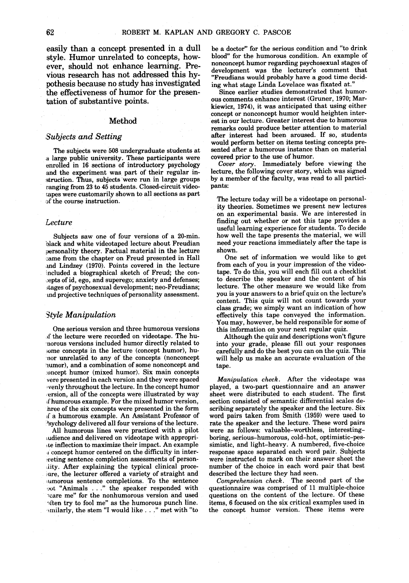the effectiveness of humor for the presen-<br>tation of substantive points.<br>tation of substantive points.

a large public university. These participants were covered prior to the use of humor.<br>enrolled in 16 sections of introductory psychology Cover story. Immediately before viewing the enrolled in 16 sections of introductory psychology *Cover story*. Immediately before viewing the and the experiment was part of their regular in-<br>ecture, the following cover story, which was signed and the experiment was part of their regular in-<br>struction. Thus, subjects were run in large groups by a member of the faculty, was read to all particistruction. Thus, subjects were run in large groups by a nearly participate  $\frac{1}{2}$  and  $\frac{1}{2}$  particiranging from 23 to 45 students. Closed-circuit videotapes were customarily shown to all sections as part of the course instruction.

black and white videotaped lecture about Freudian need your reactions in the tape is in mediately after the tape is the tape in the tape in the tape is shown. personality theory. Factual material in the lecture shown.<br>
came from the chapter on Freud presented in Hall One set of information we would like to get came from the chapter on Freud presented in Hall One set of information we would like to get<br>and Lindzey (1970). Points covered in the lecture from each of you is your impression of the videoand Lindzey (1970). Points covered in the lecture from each of you is your impression of the video-<br>included a biographical sketch of Freud; the con-<br>tape. To do this, you will each fill out a checklist included a biographical sketch of Freud; the con-<br>epts of id, ego, and superego; anxiety and defenses; to describe the speaker and the content of his epts of id, ego, and superego; anxiety and defenses; to describe the speaker and the content of his<br>stages of psychosexual development: neo-Freudians; lecture. The other measure we would like from stages of psychosexual development; neo-Freudians; lecture. The other measure we would like from<br>ind projective techniques of personality assessment. you is your answers to a brief quiz on the lecture's and projective techniques of personality assessment.

One serious version and three humorous versions this information on your next regular quiz.<br>the lecture were recorded on videotape. The hu-**Although the quiz and descriptions won't** figure of the lecture were recorded on videotape. The hu-<br>
morous versions included humor directly related to into your grade, please fill out your responses morous versions included humor directly related to some concepts in the lecture (concept humor), hunor unrelated to any of the concepts (nonconcept will help us make a combination of some nonconcept and  $\begin{array}{c} \text{tan } n \end{array}$ humor), and a combination of some nonconcept and :**o**ncept humor (mixed humor). Six ma**i**n concepts vere presented in each version and they were spaced *Manipulation check*. After the videotape was •venly throughout the lecture. In the concept humor  $\ell$ ersion, all of the concepts were illustrated by way If a humorous example. An Assistant Professor of experience pairs taken from  $P$ 

udience and delivered on videotape with appropri-<br>te inflection to maximize their impact. An example lity. After explaining the typical clinical proce- number of the choice in each word in each word in that best that best in that best in that best in that best in that best in that best in that best in that best in that be Eure, the lecturer offered a variety of straight and described the lecture they had seen.<br>
umorous sentence completions. To the sentence Comprehension check. The second part of the **but "Animals . . ." the speaker responded with**  $\text{area}$  **me" for the nonhumorous version and used**  $imilarity,$  the stem "I would like..." met with "to

easily than a concept presented in a dull be a doctor" for the serious condition and "to drink<br>style Humor unrelated to concepts, how-<br>blood" for the humorous condition. An example of style. Humor unrelated to concepts, how-<br>ever, should not enhance learning. Pre-<br>noncomputation regarding psychosexual states of ever, should not emiance rearning. Pre-<br>vious research has not addressed this hy-<br>regarding would probably have a good time decidvious research has not addressed this hy-<br>
<u>preudians</u> would probably have a good time decid-<br>
pothesis because no study has investigated ing what stage Linda Lovelace was fixated at." pothesis because no study has investigated ing what s**t**age Linda Lovelace was **fi**xated at."

kiewicz, 1974), it was anticipated that using either concept or nonconcept humor would heighten inter-Method est in our lecture. Greater interest due to humorous remarks could produce better attention to material Subjects and Setting<br>would perform better on items testing concepts pre-The subjects were 508 undergraduate students at sented after a humorous instance than on material large public university. These participants were covered prior to the use of humor.

The lecture today will be a videotape on personality theories. Sometimes we present new lectures on an experimental basis. We are interested in *Lecture* finding out whether or not this tape provides a useful learning experience for students. To decide Subjects saw one of four versions of a 20-min. how well the tape presents the material, we will<br>ack and white videotaped lecture about Freudian eed your reactions immediately after the tape is

content. This quiz will not count towards your class grade; we simply want an indication of how S*tyle Manipulation* effectively this tape conveyed the information. You may, however, be held responsible for some of

carefully and do the best you can on the quiz. This<br>will help us make an accurate evaluation of the

sheet were distributed to each student. The first section consisted of semantic differential scales deof humorous example. For the mixed humor version, section consisted of semantic differential scales de-<br>hree of the six concepts were presented in the form scribing separately the speaker and the lecture. Six hree of the six concepts were presented in the form scribing separately the speaker and the lecture. Six if a humorous example. An Assistant Professor of word pairs taken from Smith (1959) were used to ychology delivered all four versions of the lecture. rate the speaker and the lecture. These word pairs<br>All humorous lines were practiced with a pilot vere as follows: valuable-worthless, interestingwere as follows: valuable-worthless, interesting-<br>boring, serious-humorous, cold-hot, optimistic-pestte inflection to maximize their impact. An example simistic, and light-heavy. A numbered, five-choice  $\alpha$  concept humor centered on the difficulty in interresponse space separated each word pair. Subjects were instructed to mark on their answer sheet the reting sentence completion assessments of person- were instructed to mark on their answer sheet the<br>dity. After explaining the typical clinical proce- number of the choice in each word pair that best

\_umorous sentence completions. To the sentence *Comprehension check*. The second part of the questions on the content of the lecture. Of these items, 6 focused on the six critical examples used in often try to fool me" as the humorous punch line. items, 6 focused on the six critical examples used in smilarly, the stem "I would like  $\ldots$ " met with "to the concept humor version. These items were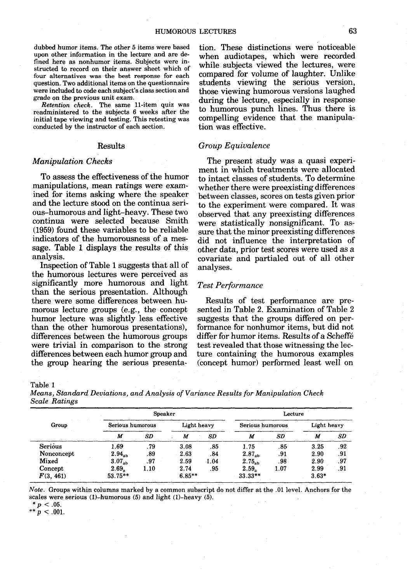dubbed humor items. The other 5 items were based tion. These distinctions were noticeable upon other information in the lecture and are de-<br>when audiotanes which were recorded fined here as nonhumor items. Subjects were instructed to record on their answer sheet which of while subjects viewed the lectures, were<br>four alternatives was the hest response for each compared for volume of laughter. Unlike four alternatives was the best response for each compared for volume of laughter, Unlike question. Two additional items on the questionnaire students viewing the serious version, question. Two additional items on the questionnaire were included to code each subject's class section and were included to code each subject's class section and those viewing humorous versions laughed<br>grade on the previous unit exament and during the locture especially in response

Retention **c**he**c**k. Th**e** s**a**m**e** 11-it**e**m quiz w**a**s readministered to the subjects 6 weeks after the to humorous puncil lines. Thus there is<br>initial tape viewing and testing. This retesting was compelling evidence that the manipulainitial tape viewing and testing. This retesting was compelling eviden conducted by the instructor of each section.  $\frac{1}{2}$  tion was effective. conducted by the instructor of each section.

ined for items asking where the speaker between classes, scores on tests given prior<br>and the lecture stood on the continua seri-<br>to the experiment were compared. It was and the lecture stood on the continua seri-<br>out on the experiment were compared. It was<br>ous-humorous and light-heavy. These two<br> $\epsilon$  observed that any preoxisting differences ous-humorous and light-heavy. These two observed that any preexisting differences continua were selected because Smith were statistically popsignificant. To as*<sup>c</sup>*ontinua were selected because Smith were statistically <sup>n</sup>*o*nsignificant. To as- (1959) found these variables to be reliable sure that the minor preexisting differences indicators of the humorousness of a mes-<br>did not influence the interpretation of indicators of the humorousness of a mes-<br>sage. Table 1 displays the results of this other data prior test scores were used as a sage. Table 1 displays the results of this other data, prior test scores were used as a<br>covariate and partialed out of all other

Inspection of Table 1 suggests that all of the humorous lectures were perceived as significantly more humorous and light *Test Performance* than the serious presentation. Although there were some differences between hu-<br>morous lecture groups (e.g., the concept sented in Table 2. Examination of Table 2 morous lecture groups (e.g., the concept sented in Table 2. Examination of Table 2<br>humor lecture was slightly less effective suggests that the groups differed on perhumor lecture was slightly less effective suggests that the groups differed on per-<br>than the other humorous presentations), formance for nonhumor items, but did not than the other humorous presentations), formance for nonhumor items, but did not differences between the humorous groups differ for humor items. Results of a Scheffé were trivial in comparison to the strong test revealed that those witnessing the lecwere trivial in comparison to the strong test revealed that those witnessing the lec-<br>differences between each humor group and ture containing the humorous examples differences between each humor group and<br>the group hearing the serious presenta-

when audiotapes, which were recorded while subjects viewed the lectures, were during the lecture, especially in response<br>to humorous punch lines. Thus there is

## Results *Group Equivalence*

*Manipulation Checks* The present stu*d*y was a quasi experiment in which treatments were allocated To assess the effectiveness of the humor<br>manipulations, mean ratings were exam-<br>whether there were preexisting differences manipulations, mean ratings were exam-<br>ined for items asking where the speaker between classes scores on tests given prior covariate and partialed out of all other analyses.

(concept humor) performed least well on

### Table 1

*Means, Standard Deviations, and Analysis of Variance Results for Manipulation Check Scale Ratings*

| Group      |                  | Speaker   |             |      |                  | Lecture |             |     |  |
|------------|------------------|-----------|-------------|------|------------------|---------|-------------|-----|--|
|            | Serious humorous |           | Light heavy |      | Serious humorous |         | Light heavy |     |  |
|            | M                | <b>SD</b> | M           | SD   | М                | SD      | M           | SD  |  |
| Serious    | 1.69             | .79       | 3.08        | .85  | 1.75             | .85     | 3.25        | .92 |  |
| Nonconcept | $2.94_{\rm ab}$  | .89       | 2.63        | .84  | $2.87_{\rm ah}$  | .91     | 2.90        | .91 |  |
| Mixed      | $3.07_{ab}$      | .97       | 2.59        | 1.04 | $2.75_{\rm ah}$  | .98     | 2.90        | .97 |  |
| Concept    | 2.69.            | 1,10      | 2.74        | .95  | 2.59.            | 1.07    | 2.99        | .91 |  |
| F(3, 461)  | 53.75**          |           | $6.85***$   |      | $33.33**$        |         | $3.63*$     |     |  |

*Note*. Groups within columns marked by a common subscript do not differ at the .01 level. Anchors for the scales were ser**i**ous (D**-**h**u**morous (**5**) and light *(*D-heavy (5).

 $* p < .05.$ 

 $*$  *r*  $p < .001$ .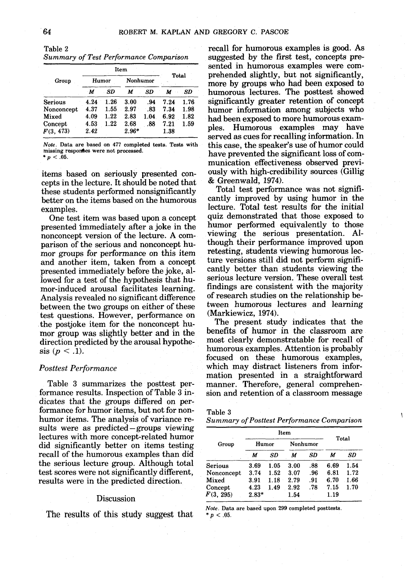| Table 2 |                                               |  |
|---------|-----------------------------------------------|--|
|         | <b>Summary of Test Performance Comparison</b> |  |

|                |      | Item  |          |      |       |      |  |
|----------------|------|-------|----------|------|-------|------|--|
| Group          |      | Humor | Nonhumor |      | Total |      |  |
|                | М    | SD    | M        | SD   | м     | SD   |  |
| <b>Serious</b> | 4.24 | 1.26  | 3.00.    | .94  | 7.24  | 1.76 |  |
| Nonconcept     | 4.37 | 1.55  | 2.97     | .83  | 7.34  | 1.98 |  |
| Mixed          | 4.09 | 1.22  | 2.83     | 1.04 | 6.92  | 1.82 |  |
| Concept        | 4.53 | 1.22  | 2.68     | .88  | 7.21  | 1.59 |  |
| F(3, 473)      | 2.42 |       | $2.96*$  |      | 1.38  |      |  |

**i i conts** in the lecture It should be noted that  $\&$  Greenwald, 1974). **cepts i**n **the lecture.** I**t should be noted that & Gree**n**wal**d*,* **19**74**).**

between the two groups on either of these **tween numorous** least questions However performance on (Markiewicz, 1974). test questions. However, performance on (Markiewicz, 1974).<br>the posticle item for the popconcent buy. The present study indicates that the

Table 3 summarizes the posttest per-<br>formance results. Inspection of Table 3 in-<br>sion and retention of a classroom message di*c*ates that the groups differed on performance for humor items, but not for non- Table 3 humor items. The analysis of variance results were as predicted – groups viewing ectures with more concept-related humor Item Item Total did significantly better on items testing  $\frac{d}{dx}$  **recall** of the humorous examples than did the serious lecture group. Although total test scores were not significantly different, results were in the predicted direction.

## Discussion

The results of this study suggest that \_*p* < **0**5.

recall for humorous examples is good. As suggested by the first test, concepts presented in humorous examples were comprehended slightly, but not significantly, more by groups who had been exposed to *humorous* lectures. The posttest showed  $\ddot{\mathbf{a}}$  significantly greater retention of concept humor information among subjects who had been exposed to more humorous examples. Humorous examples may have served as cues for recalling information. In *Note* Data are based on 477 completed tests. Test*s* with **t**his case, the speaker's use **o**f humor c**o**uld missing responses were not processed.<br>
\* *p* < .05.<br>  $\frac{1}{2}$  have prevented the significant loss of commu**nication effectiveness observed previ-**

these students performed nonsignificantly Total test performance was not significantly in the humor in the humor cantly improved by using humor in the b**etter on the items based on the h**um**oro**u**s cantly i**m**prov**ed **by usi**n**g h**um**o**r **in the examples, lecture. Total** te**st res**ul**ts** f**or the initial One test item was based** upo**n a co**n**cept q**u**iz de**m**onstra**t**ed that tho**s**e exposed to prese**n**ted** imm**edia**tel**y after a joke in the humor pe**rf**o**rm**ed e**q**uivalently to those** nonconcept version of the lecture. A com-<br>parison of the serious and ponconcept bu-<br>though their performance improved upon **pari**s**o**n **o**f t**he** s**eriou**s **and** n**onconcept hu- though their pe**rf**o**rm**ance improved upon** mor groups for performance on this item retesting, students viewing humorous lec-<br>and another item taken from a concept ture versions still did not perform signifiand another item, taken from a concept ture versions still did not perform signifi-<br>presented immediately before the joke al. cantly better than students viewing the **presented immediately before the joke, al- cantly better than st**u**de**n**ts view**i**ng the** lowed for a test of the hypothesis that hu-<br>morphology arousal facilitates learning findings are consistent with the majority m**or-induced arousal** f**acilitates learning, findings are co**n**s**i**stent with the majority A**n**aly**s**is revealed no significant difference of research st**u**dies on the relationship** be**-**

the postjoke item for the nonconcept hu-<br>mor group was slightly better and in the **benefits** of humor in the classroom are mor group was slightly better and in the benefits of humor in the classroom are<br>direction predicted by the arousal hypothe- most clearly demonstratable for recall of direction predicted by the arousal hypothe-<br>sis  $(p < .1)$ .<br>humorous examples. Attention is probably  $s$ is ( $p < .1$ ).<br>
focused on these humorous examples *Posttest Performance* which may distract listeners from information presented in a straightforward sion and retention of a classroom message

|            |         | Item |          |     |       |      |  |
|------------|---------|------|----------|-----|-------|------|--|
| Group      | Humor   |      | Nonhumor |     | Total |      |  |
|            | M       | SD   | M        | SD  | M     | SD   |  |
| Serious    | 3.69    | 1.05 | 3.00     | .88 | 6.69  | 1.54 |  |
| Nonconcept | 3.74    | 1.52 | 3.07     | .96 | 6.81  | 1.72 |  |
| Mixed      | 3.91    | 1.18 | 2.79     | .91 | 6.70  | 1.66 |  |
| Concept    | 4.23    | 1.49 | 2.92     | .78 | 7.15  | 1.70 |  |
| F(3, 295)  | $2.83*$ |      | 1.54     |     | 1.19  |      |  |

*Note*. Data are based upon 299 completed posttests.  $* p < .05$ .